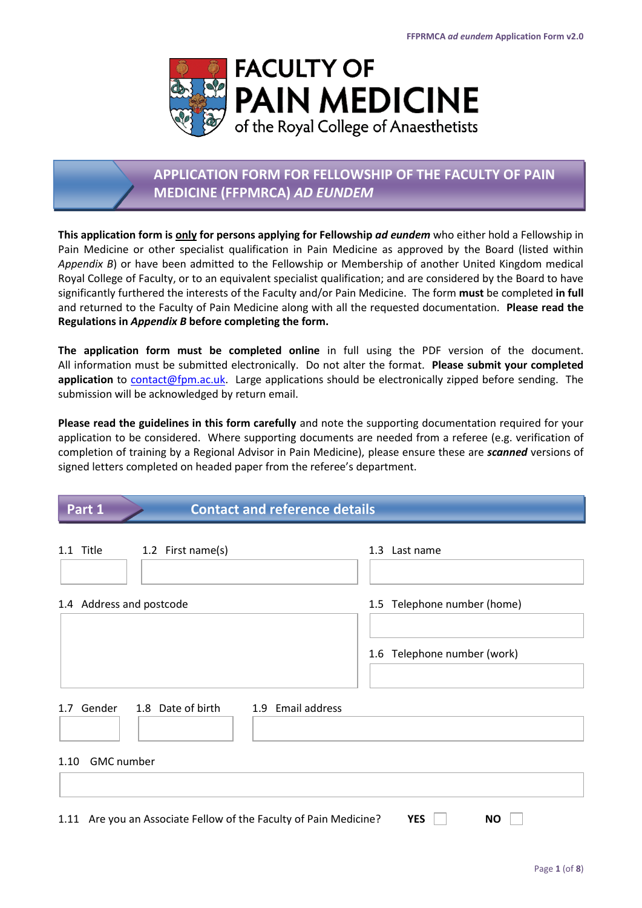

# **APPLICATION FORM FOR FELLOWSHIP OF THE FACULTY OF PAIN MEDICINE (FFPMRCA)** *AD EUNDEM*

**This application form is only for persons applying for Fellowship** *ad eundem* who either hold a Fellowship in Pain Medicine or other specialist qualification in Pain Medicine as approved by the Board (listed within *Appendix B*) or have been admitted to the Fellowship or Membership of another United Kingdom medical Royal College of Faculty, or to an equivalent specialist qualification; and are considered by the Board to have significantly furthered the interests of the Faculty and/or Pain Medicine. The form **must** be completed **in full** and returned to the Faculty of Pain Medicine along with all the requested documentation. **Please read the Regulations in** *Appendix B* **before completing the form.**

**The application form must be completed online** in full using the PDF version of the document. All information must be submitted electronically. Do not alter the format. **Please submit your completed application** to [contact@fpm.ac.uk.](mailto:contact@fpm.ac.uk) Large applications should be electronically zipped before sending. The submission will be acknowledged by return email.

**Please read the guidelines in this form carefully** and note the supporting documentation required for your application to be considered. Where supporting documents are needed from a referee (e.g. verification of completion of training by a Regional Advisor in Pain Medicine), please ensure these are *scanned* versions of signed letters completed on headed paper from the referee's department.

| Part 1<br><b>Contact and reference details</b> |                                                                   |                             |
|------------------------------------------------|-------------------------------------------------------------------|-----------------------------|
| 1.1 Title                                      | 1.2 First name(s)                                                 | 1.3 Last name               |
| 1.4 Address and postcode                       |                                                                   | 1.5 Telephone number (home) |
|                                                |                                                                   | 1.6 Telephone number (work) |
|                                                | 1.7 Gender 1.8 Date of birth<br>1.9 Email address                 |                             |
| 1.10 GMC number                                |                                                                   |                             |
|                                                | 1.11 Are you an Associate Fellow of the Faculty of Pain Medicine? | <b>YES</b><br><b>NO</b>     |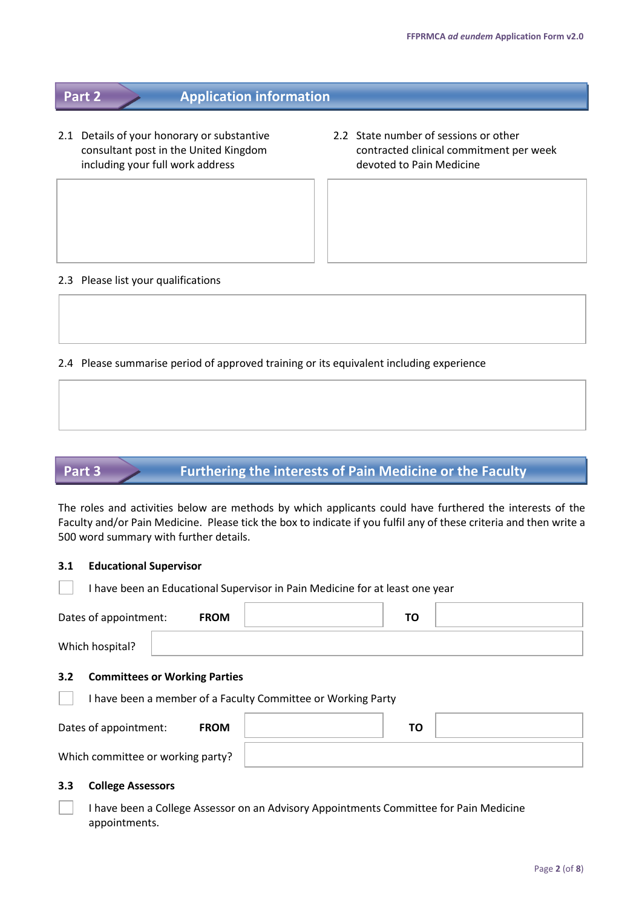# **Part 2 Application information**

- 2.1 Details of your honorary or substantive 2.2 State number of sessions or other including your full work address devoted to Pain Medicine
- consultant post in the United Kingdom contracted clinical commitment per week

#### 2.3 Please list your qualifications

2.4 Please summarise period of approved training or its equivalent including experience

# **Part 3 Furthering the interests of Pain Medicine or the Faculty**

The roles and activities below are methods by which applicants could have furthered the interests of the Faculty and/or Pain Medicine. Please tick the box to indicate if you fulfil any of these criteria and then write a 500 word summary with further details.

 $\Box$ 

|                       | I have been an Educational Supervisor in Pain Medicine for at least one year |    |  |
|-----------------------|------------------------------------------------------------------------------|----|--|
| Dates of appointment: | <b>FROM</b>                                                                  | ΤО |  |
| Which hospital?       |                                                                              |    |  |
| 3.2                   | <b>Committees or Working Parties</b>                                         |    |  |

I have been a member of a Faculty Committee or Working Party

| <b>FROM</b><br>Dates of appointment: |  |  |
|--------------------------------------|--|--|
| Which committee or working party?    |  |  |

#### **3.3 College Assessors**

I have been a College Assessor on an Advisory Appointments Committee for Pain Medicine appointments.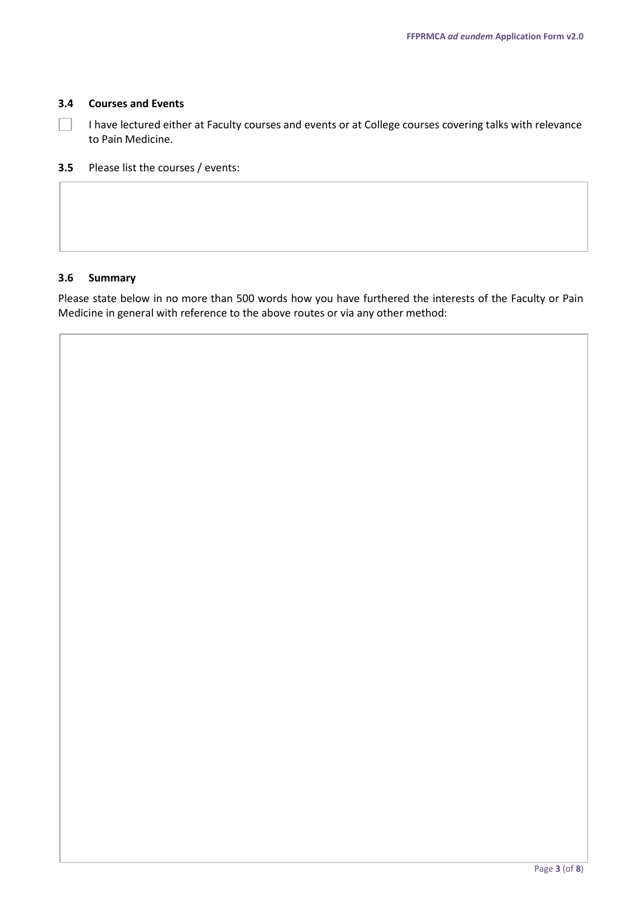#### **3.4 Courses and Events**

I have lectured either at Faculty courses and events or at College courses covering talks with relevance  $\Box$ to Pain Medicine.

**3.5** Please list the courses / events:

#### **3.6 Summary**

Please state below in no more than 500 words how you have furthered the interests of the Faculty or Pain Medicine in general with reference to the above routes or via any other method: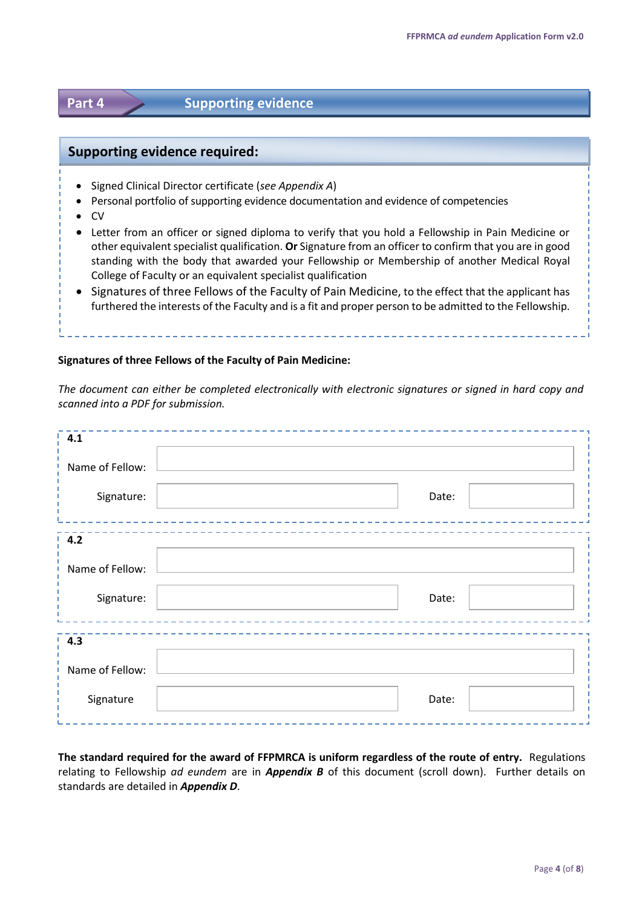# **Part 4 Supporting evidence**

### **Supporting evidence required:**

- Signed Clinical Director certificate (*see Appendix A*)
- Personal portfolio of supporting evidence documentation and evidence of competencies
- $\bullet$  CV
- Letter from an officer or signed diploma to verify that you hold a Fellowship in Pain Medicine or other equivalent specialist qualification. **Or** Signature from an officer to confirm that you are in good standing with the body that awarded your Fellowship or Membership of another Medical Royal College of Faculty or an equivalent specialist qualification
- Signatures of three Fellows of the Faculty of Pain Medicine, to the effect that the applicant has furthered the interests of the Faculty and is a fit and proper person to be admitted to the Fellowship.

#### **Signatures of three Fellows of the Faculty of Pain Medicine:**

*The document can either be completed electronically with electronic signatures or signed in hard copy and scanned into a PDF for submission.*

| $\frac{1}{2}$ 4.1 |       |
|-------------------|-------|
| Name of Fellow:   |       |
| Signature:        | Date: |
| $\frac{1}{2}$ 4.2 |       |
| Name of Fellow:   |       |
| Signature:        | Date: |
| $\frac{1}{2}$ 4.3 |       |
| Name of Fellow:   |       |
| Signature         | Date: |

**The standard required for the award of FFPMRCA is uniform regardless of the route of entry.** Regulations relating to Fellowship *ad eundem* are in *Appendix B* of this document (scroll down). Further details on standards are detailed in *Appendix D*.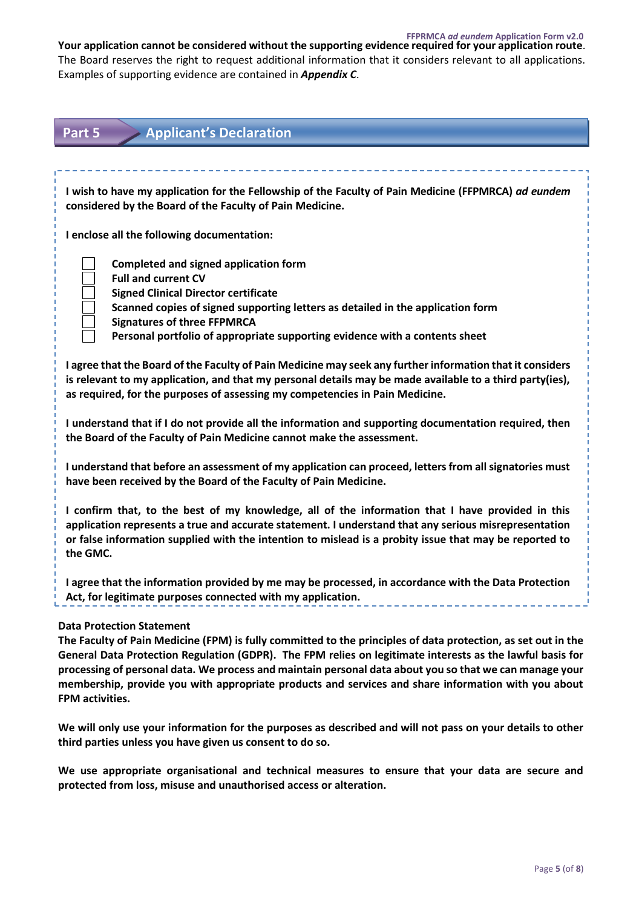**FFPRMCA** *ad eundem* **Application Form v2.0 Your application cannot be considered without the supporting evidence required for your application route**. The Board reserves the right to request additional information that it considers relevant to all applications. Examples of supporting evidence are contained in *Appendix C*.

| <b>Applicant's Declaration</b><br>Part 5                                                                                                                                                                                                                                                                                                                                                                                                                                                            |  |  |
|-----------------------------------------------------------------------------------------------------------------------------------------------------------------------------------------------------------------------------------------------------------------------------------------------------------------------------------------------------------------------------------------------------------------------------------------------------------------------------------------------------|--|--|
|                                                                                                                                                                                                                                                                                                                                                                                                                                                                                                     |  |  |
| I wish to have my application for the Fellowship of the Faculty of Pain Medicine (FFPMRCA) ad eundem<br>considered by the Board of the Faculty of Pain Medicine.                                                                                                                                                                                                                                                                                                                                    |  |  |
| I enclose all the following documentation:                                                                                                                                                                                                                                                                                                                                                                                                                                                          |  |  |
| <b>Completed and signed application form</b><br><b>Full and current CV</b><br><b>Signed Clinical Director certificate</b><br>Scanned copies of signed supporting letters as detailed in the application form<br><b>Signatures of three FFPMRCA</b><br>Personal portfolio of appropriate supporting evidence with a contents sheet                                                                                                                                                                   |  |  |
| I agree that the Board of the Faculty of Pain Medicine may seek any further information that it considers<br>is relevant to my application, and that my personal details may be made available to a third party(ies),<br>as required, for the purposes of assessing my competencies in Pain Medicine.                                                                                                                                                                                               |  |  |
| I understand that if I do not provide all the information and supporting documentation required, then<br>the Board of the Faculty of Pain Medicine cannot make the assessment.                                                                                                                                                                                                                                                                                                                      |  |  |
| I understand that before an assessment of my application can proceed, letters from all signatories must<br>have been received by the Board of the Faculty of Pain Medicine.                                                                                                                                                                                                                                                                                                                         |  |  |
| I confirm that, to the best of my knowledge, all of the information that I have provided in this<br>application represents a true and accurate statement. I understand that any serious misrepresentation<br>or false information supplied with the intention to mislead is a probity issue that may be reported to<br>the GMC.                                                                                                                                                                     |  |  |
| I agree that the information provided by me may be processed, in accordance with the Data Protection<br>Act, for legitimate purposes connected with my application.                                                                                                                                                                                                                                                                                                                                 |  |  |
| <b>Data Protection Statement</b><br>The Faculty of Pain Medicine (FPM) is fully committed to the principles of data protection, as set out in the<br>General Data Protection Regulation (GDPR). The FPM relies on legitimate interests as the lawful basis for<br>processing of personal data. We process and maintain personal data about you so that we can manage your<br>membership, provide you with appropriate products and services and share information with you about<br>FPM activities. |  |  |
| We will only use your information for the purposes as described and will not pass on your details to other<br>third parties unless you have given us consent to do so.                                                                                                                                                                                                                                                                                                                              |  |  |
| We use appropriate organisational and technical measures to ensure that your data are secure and<br>protected from loss, misuse and unauthorised access or alteration.                                                                                                                                                                                                                                                                                                                              |  |  |
|                                                                                                                                                                                                                                                                                                                                                                                                                                                                                                     |  |  |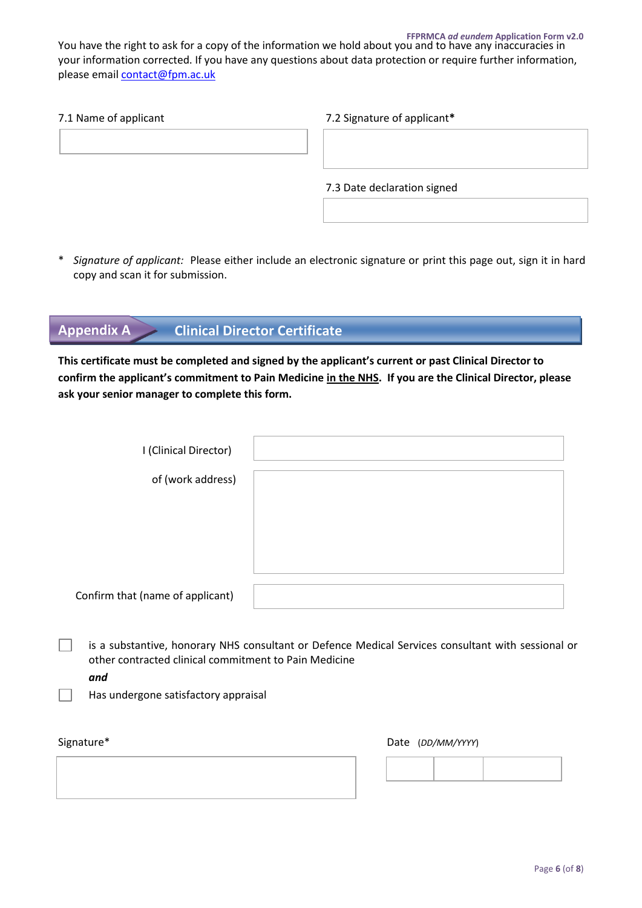#### **FFPRMCA** *ad eundem* **Application Form v2.0**

You have the right to ask for a copy of the information we hold about you and to have any inaccuracies in your information corrected. If you have any questions about data protection or require further information, please emai[l contact@fpm.ac.uk](mailto:contact@fpm.ac.uk)

| 7.1 Name of applicant | 7.2 Signature of applicant* |
|-----------------------|-----------------------------|
|                       |                             |
|                       |                             |
|                       | 7.3 Date declaration signed |
|                       |                             |

\* *Signature of applicant:* Please either include an electronic signature or print this page out, sign it in hard copy and scan it for submission.

# **Appendix A Clinical Director Certificate**

**This certificate must be completed and signed by the applicant's current or past Clinical Director to confirm the applicant's commitment to Pain Medicine in the NHS. If you are the Clinical Director, please ask your senior manager to complete this form.** 

| I (Clinical Director)            |  |
|----------------------------------|--|
| of (work address)                |  |
|                                  |  |
|                                  |  |
|                                  |  |
| Confirm that (name of applicant) |  |
|                                  |  |

**1** is a substantive, honorary NHS consultant or Defence Medical Services consultant with sessional or other contracted clinical commitment to Pain Medicine

*and*

Has undergone satisfactory appraisal

Signature\*

| Date | (DD/MM/YYYY) |
|------|--------------|
|------|--------------|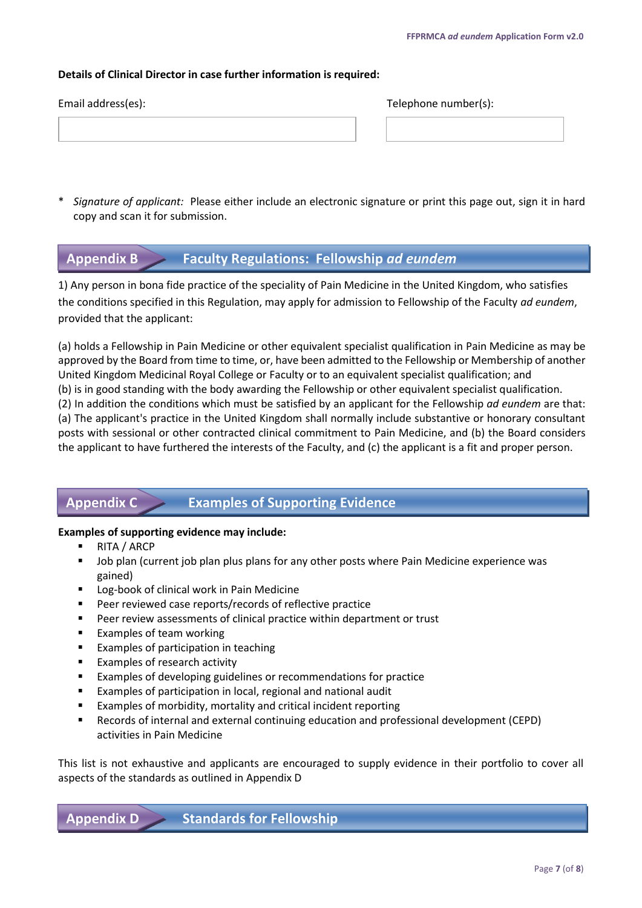#### **Details of Clinical Director in case further information is required:**

| Email address(es): | Telephone number(s): |
|--------------------|----------------------|
|                    |                      |
|                    |                      |
|                    |                      |

\* *Signature of applicant:* Please either include an electronic signature or print this page out, sign it in hard copy and scan it for submission.

## **Appendix B Faculty Regulations: Fellowship** *ad eundem*

1) Any person in bona fide practice of the speciality of Pain Medicine in the United Kingdom, who satisfies the conditions specified in this Regulation, may apply for admission to Fellowship of the Faculty *ad eundem*, provided that the applicant:

(a) holds a Fellowship in Pain Medicine or other equivalent specialist qualification in Pain Medicine as may be approved by the Board from time to time, or, have been admitted to the Fellowship or Membership of another United Kingdom Medicinal Royal College or Faculty or to an equivalent specialist qualification; and (b) is in good standing with the body awarding the Fellowship or other equivalent specialist qualification. (2) In addition the conditions which must be satisfied by an applicant for the Fellowship *ad eundem* are that: (a) The applicant's practice in the United Kingdom shall normally include substantive or honorary consultant posts with sessional or other contracted clinical commitment to Pain Medicine, and (b) the Board considers the applicant to have furthered the interests of the Faculty, and (c) the applicant is a fit and proper person.

# **Appendix C Examples of Supporting Evidence**

#### **Examples of supporting evidence may include:**

- RITA / ARCP
- **Dub plan (current job plan plus plans for any other posts where Pain Medicine experience was** gained)
- Log-book of clinical work in Pain Medicine
- Peer reviewed case reports/records of reflective practice
- **Peer review assessments of clinical practice within department or trust**
- Examples of team working
- **Examples of participation in teaching**
- Examples of research activity
- Examples of developing guidelines or recommendations for practice
- Examples of participation in local, regional and national audit
- Examples of morbidity, mortality and critical incident reporting
- Records of internal and external continuing education and professional development (CEPD) activities in Pain Medicine

This list is not exhaustive and applicants are encouraged to supply evidence in their portfolio to cover all aspects of the standards as outlined in Appendix D

**Standards for Fellowship Appendix D**